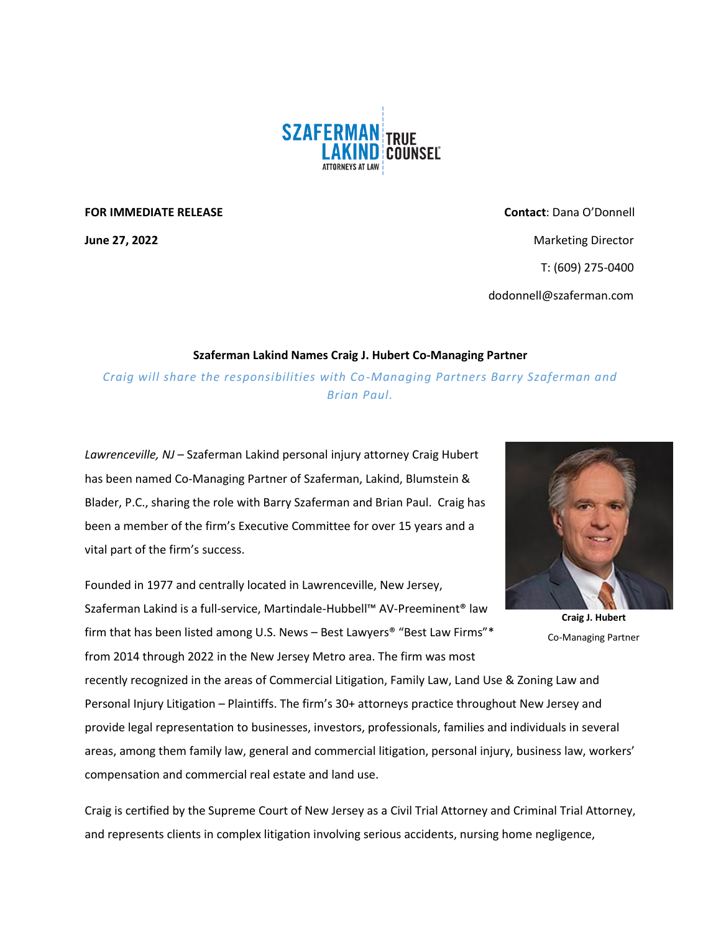

**FOR IMMEDIATE RELEASE Contact**: Dana O'Donnell **June 27, 2022** Marketing Director **Marketing Director** Marketing Director T: (609) 275-0400 dodonnell@szaferman.com

## **Szaferman Lakind Names Craig J. Hubert Co-Managing Partner**

*Craig will share the responsibilities with Co-Managing Partners Barry Szaferman and Brian Paul.*

*Lawrenceville, NJ* – Szaferman Lakind personal injury attorney Craig Hubert has been named Co-Managing Partner of Szaferman, Lakind, Blumstein & Blader, P.C., sharing the role with Barry Szaferman and Brian Paul. Craig has been a member of the firm's Executive Committee for over 15 years and a vital part of the firm's success.

Founded in 1977 and centrally located in Lawrenceville, New Jersey, Szaferman Lakind is a full-service, Martindale-Hubbell™ AV-Preeminent® law firm that has been listed among U.S. News – Best Lawyers® "Best Law Firms"\* from 2014 through 2022 in the New Jersey Metro area. The firm was most

recently recognized in the areas of Commercial Litigation, Family Law, Land Use & Zoning Law and Personal Injury Litigation – Plaintiffs. The firm's 30+ attorneys practice throughout New Jersey and provide legal representation to businesses, investors, professionals, families and individuals in several areas, among them family law, general and commercial litigation, personal injury, business law, workers' compensation and commercial real estate and land use.

Craig is certified by the Supreme Court of New Jersey as a Civil Trial Attorney and Criminal Trial Attorney, and represents clients in complex litigation involving serious accidents, nursing home negligence,



**Craig J. Hubert** Co-Managing Partner